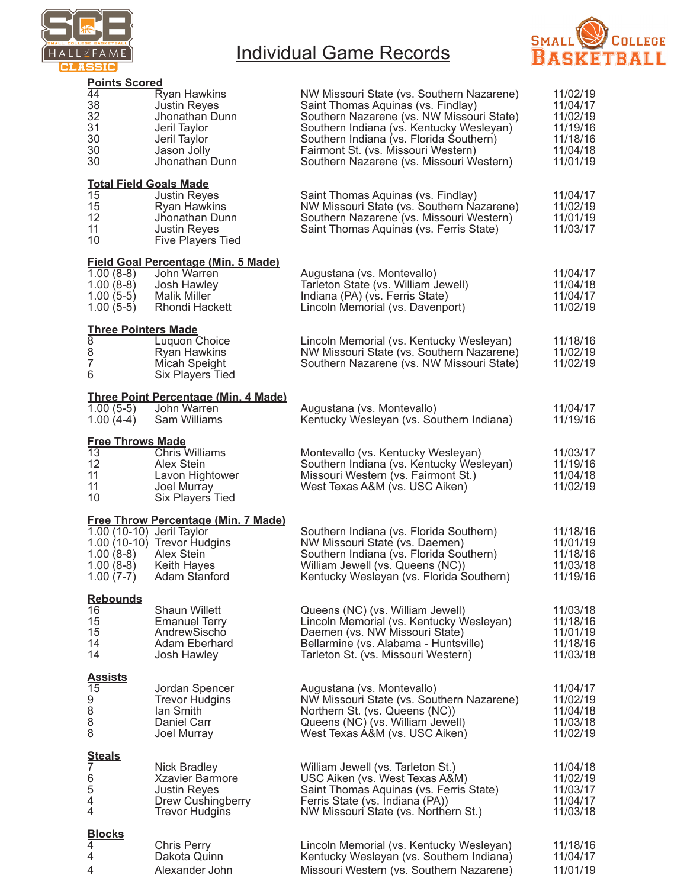

# Individual Game Records



| <b>Points Scored</b>                                                     |                                                                                                                                             |                                                                                                                                                                                                                                                                                                        |                                                                                  |
|--------------------------------------------------------------------------|---------------------------------------------------------------------------------------------------------------------------------------------|--------------------------------------------------------------------------------------------------------------------------------------------------------------------------------------------------------------------------------------------------------------------------------------------------------|----------------------------------------------------------------------------------|
| 44<br>38<br>32<br>31<br>30<br>30<br>30                                   | Ryan Hawkins<br><b>Justin Reyes</b><br>Jhonathan Dunn<br>Jeril Taylor<br>Jeril Taylor<br>Jason Jolly<br>Jhonathan Dunn                      | NW Missouri State (vs. Southern Nazarene)<br>Saint Thomas Aquinas (vs. Findlay)<br>Southern Nazarene (vs. NW Missouri State)<br>Southern Indiana (vs. Kentucky Wesleyan)<br>Southern Indiana (vs. Florida Southern)<br>Fairmont St. (vs. Missouri Western)<br>Southern Nazarene (vs. Missouri Western) | 11/02/19<br>11/04/17<br>11/02/19<br>11/19/16<br>11/18/16<br>11/04/18<br>11/01/19 |
| <b>Total Field Goals Made</b><br>15<br>15<br>12 <sup>2</sup><br>11<br>10 | <b>Justin Reyes</b><br>Ryan Hawkins<br>Jhonathan Dunn<br><b>Justin Reyes</b><br><b>Five Players Tied</b>                                    | Saint Thomas Aquinas (vs. Findlay)<br>NW Missouri State (vs. Southern Nazarene)<br>Southern Nazarene (vs. Missouri Western)<br>Saint Thomas Aquinas (vs. Ferris State)                                                                                                                                 | 11/04/17<br>11/02/19<br>11/01/19<br>11/03/17                                     |
| $1.00(8-8)$<br>$1.00(8-8)$<br>$1.00(5-5)$<br>$1.00(5-5)$                 | <b>Field Goal Percentage (Min. 5 Made)</b><br>John Warren<br>Josh Hawley<br><b>Malik Miller</b><br>Rhondi Hackett                           | Augustana (vs. Montevallo)<br>Tarleton State (vs. William Jewell)<br>Indiana (PA) (vs. Ferris State)<br>Lincoln Memorial (vs. Davenport)                                                                                                                                                               | 11/04/17<br>11/04/18<br>11/04/17<br>11/02/19                                     |
| <b>Three Pointers Made</b><br>8<br>8<br>$\overline{7}$<br>6              | Luquon Choice<br>Ryan Hawkins<br>Micah Speight<br><b>Six Players Tied</b>                                                                   | Lincoln Memorial (vs. Kentucky Wesleyan)<br>NW Missouri State (vs. Southern Nazarene)<br>Southern Nazarene (vs. NW Missouri State)                                                                                                                                                                     | 11/18/16<br>11/02/19<br>11/02/19                                                 |
| $1.00(5-5)$<br>$1.00(4-4)$                                               | <u>Three Point Percentage (Min. 4 Made)</u><br>John Warren<br>Sam Williams                                                                  | Augustana (vs. Montevallo)<br>Kentucky Wesleyan (vs. Southern Indiana)                                                                                                                                                                                                                                 | 11/04/17<br>11/19/16                                                             |
| <b>Free Throws Made</b><br>13<br>12<br>11<br>11<br>10                    | <b>Chris Williams</b><br>Alex Stein<br>Lavon Hightower<br>Joel Murray<br>Six Players Tied                                                   | Montevallo (vs. Kentucky Wesleyan)<br>Southern Indiana (vs. Kentucky Wesleyan)<br>Missouri Western (vs. Fairmont St.)<br>West Texas A&M (vs. USC Aiken)                                                                                                                                                | 11/03/17<br>11/19/16<br>11/04/18<br>11/02/19                                     |
| 1.00 (10-10) Jeril Taylor<br>$1.00(8-8)$<br>$1.00(8-8)$                  | <b>Free Throw Percentage (Min. 7 Made)</b><br>$1.00(10-10)$ Trevor Hudgins<br><b>Alex Stein</b><br>Keith Hayes<br>$1.00(7-7)$ Adam Stanford | Southern Indiana (vs. Florida Southern)<br>NW Missouri State (vs. Daemen)<br>Southern Indiana (vs. Florida Southern)<br>William Jewell (vs. Queens (NC))<br>Kentucky Wesleyan (vs. Florida Southern)                                                                                                   | 11/18/16<br>11/01/19<br>11/18/16<br>11/03/18<br>11/19/16                         |
| <b>Rebounds</b><br>16<br>15<br>15<br>14<br>14                            | <b>Shaun Willett</b><br><b>Emanuel Terry</b><br>AndrewSischo<br>Adam Eberhard<br>Josh Hawley                                                | Queens (NC) (vs. William Jewell)<br>Lincoln Memorial (vs. Kentucky Wesleyan)<br>Daemen (vs. NW Missouri State)<br>Bellarmine (vs. Alabama - Huntsville)<br>Tarleton St. (vs. Missouri Western)                                                                                                         | 11/03/18<br>11/18/16<br>11/01/19<br>11/18/16<br>11/03/18                         |
| <b>Assists</b><br>15<br>9<br>8<br>8<br>8                                 | Jordan Spencer<br><b>Trevor Hudgins</b><br>lan Smith<br>Daniel Carr<br>Joel Murray                                                          | Augustana (vs. Montevallo)<br>NW Missouri State (vs. Southern Nazarene)<br>Northern St. (vs. Queens (NC))<br>Queens (NC) (vs. William Jewell)<br>West Texas A&M (vs. USC Aiken)                                                                                                                        | 11/04/17<br>11/02/19<br>11/04/18<br>11/03/18<br>11/02/19                         |
| <b>Steals</b><br>7<br>6<br>5<br>$\overline{4}$<br>4                      | <b>Nick Bradley</b><br><b>Xzavier Barmore</b><br><b>Justin Reyes</b><br>Drew Cushingberry<br><b>Trevor Hudgins</b>                          | William Jewell (vs. Tarleton St.)<br>USC Aiken (vs. West Texas A&M)<br>Saint Thomas Aquinas (vs. Ferris State)<br>Ferris State (vs. Indiana (PA))<br>NW Missouri State (vs. Northern St.)                                                                                                              | 11/04/18<br>11/02/19<br>11/03/17<br>11/04/17<br>11/03/18                         |
| <b>Blocks</b><br>4<br>4<br>4                                             | <b>Chris Perry</b><br>Dakota Quinn<br>Alexander John                                                                                        | Lincoln Memorial (vs. Kentucky Wesleyan)<br>Kentucky Wesleyan (vs. Southern Indiana)<br>Missouri Western (vs. Southern Nazarene)                                                                                                                                                                       | 11/18/16<br>11/04/17<br>11/01/19                                                 |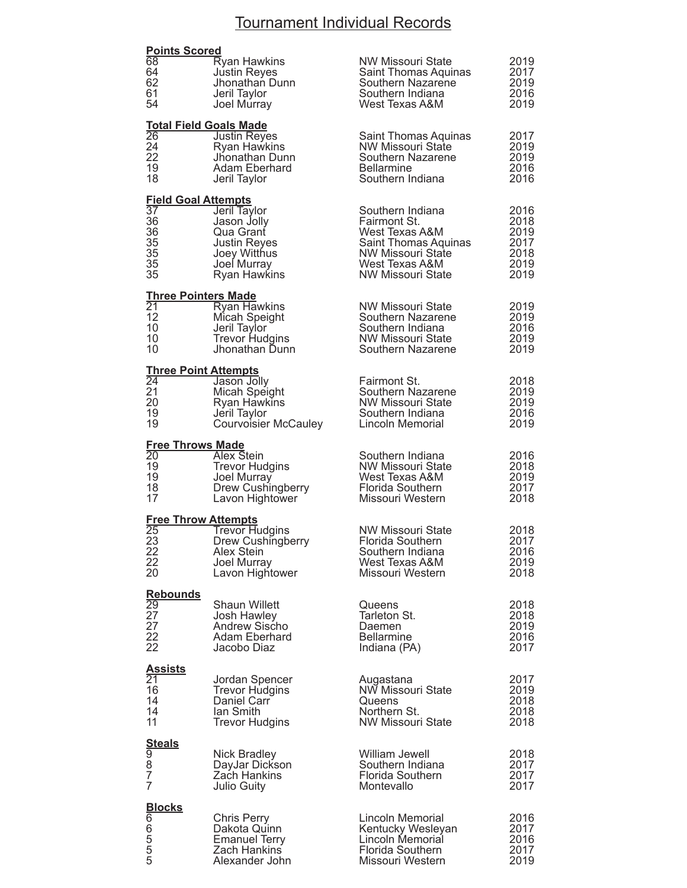### Tournament Individual Records

| <b>Points Scored</b><br>68<br>64<br>62<br>61                                                                                   | <b>Ryan Hawkins</b><br>Justin Reyes<br>Jhonathan Dunn<br>Jeril Taylor                                                                  | <b>NW Missouri State</b><br>Saint Thomas Aquinas<br>Southern Nazarene<br>Southern Indiana<br>West Texas A&M                                   | 2019<br>2017<br>2019<br>2016                         |
|--------------------------------------------------------------------------------------------------------------------------------|----------------------------------------------------------------------------------------------------------------------------------------|-----------------------------------------------------------------------------------------------------------------------------------------------|------------------------------------------------------|
| 54<br>$\overline{26}$<br>24<br>22<br>19<br>18                                                                                  | Joel Murray<br><b>Total Field Goals Made</b><br>Justin Reyes<br><b>Ryan Hawkins</b><br>Jhonathan Dunn<br>Adam Eberhard<br>Jeril Taylor | Saint Thomas Aquinas<br><b>NW Missouri State</b><br>Southern Nazarene<br><b>Bellarmine</b><br>Southern Indiana                                | 2019<br>2017<br>2019<br>2019<br>2016<br>2016         |
| <b>Field Goal Attempts</b><br>$\overline{37}$<br>36<br>36<br>35<br>35<br>35<br>35                                              | Jeril Taylor<br>Jason Jolly<br>Qua Grant<br>Justin Reyes<br>Joey Witthus<br>Joel Murray<br><b>Ryan Hawkins</b>                         | Southern Indiana<br>Fairmont St.<br>West Texas A&M<br>Saint Thomas Aquinas<br>NW Missouri State<br>West Texas A&M<br><b>NW Missouri State</b> | 2016<br>2018<br>2019<br>2017<br>2018<br>2019<br>2019 |
| <b>Three Pointers Made</b><br>$\overline{21}$<br>12<br>10<br>10<br>10                                                          | <b>Ryan Hawkins</b><br>Micah Speight<br>Jeril Taylor<br><b>Trevor Hudgins</b><br>Jhonathan Dunn                                        | <b>NW Missouri State</b><br>Southern Nazarene<br>Southern Indiana<br>NW Missouri State<br>Southern Nazarene                                   | 2019<br>2019<br>2016<br>2019<br>2019                 |
| <b>Three Point Attempts</b><br>$\overline{24}$<br>21<br>20<br>19<br>19                                                         | Jason Jolly<br>Micah Speight<br>Ryan Hawkins<br>Jeril Taylor<br><b>Courvoisier McCauley</b>                                            | Fairmont St.<br>Southern Nazarene<br>NW Missouri State<br>Southern Indiana<br>Lincoln Memorial                                                | 2018<br>2019<br>2019<br>2016<br>2019                 |
| <b>Free Throws Made</b><br>$\overline{20}$<br>19<br>19<br>18<br>17                                                             | <b>Alex Stein</b><br><b>Trevor Hudgins</b><br>Joel Murray<br>Drew Cushingberry<br>Lavon Hightower                                      | Southern Indiana<br>NW Missouri State<br>West Texas A&M<br><b>Florida Southern</b><br>Missouri Western                                        | 2016<br>2018<br>2019<br>2017<br>2018                 |
| <b>Free Throw Attempts</b><br>25<br>23<br>22<br>22<br>20                                                                       | <b>Trevor Hudgins</b><br>Drew Cushingberry<br>Alex Stein<br>Joel Murray<br>Lavon Hightower                                             | <b>NW Missouri State</b><br>Florida Southern<br>Southern Indiana<br>West Texas A&M<br>Missouri Western                                        | 2018<br>2017<br>2016<br>2019<br>2018                 |
| <b>Rebounds</b><br>$\overline{29}$<br>27<br>27<br>22<br>22                                                                     | <b>Shaun Willett</b><br>Josh Hawley<br><b>Andrew Sischo</b><br>Adam Eberhard<br>Jacobo Diaz                                            | Queens<br>Tarleton St.<br>Daemen<br><b>Bellarmine</b><br>Indiana (PA)                                                                         | 2018<br>2018<br>2019<br>2016<br>2017                 |
| <u>Assists</u><br>21<br>16<br>14<br>14<br>11                                                                                   | Jordan Spencer<br><b>Trevor Hudgins</b><br>Daniel Carr<br>lan Smith<br><b>Trevor Hudgins</b>                                           | Augastana<br>NW Missouri State<br>Queens<br>Northern St.<br><b>NW Missouri State</b>                                                          | 2017<br>2019<br>2018<br>2018<br>2018                 |
| <b>Steals</b><br>9<br>8<br>7<br>7                                                                                              | <b>Nick Bradley</b><br>DayJar Dickson<br>Zach Hankins<br>Julio Guity                                                                   | William Jewell<br>Southern Indiana<br>Florida Southern<br>Montevallo                                                                          | 2018<br>2017<br>2017<br>2017                         |
| $\begin{array}{l} \underline{\textbf{Blocks}}\ \mathbf{6} \\ \mathbf{6} \\ \mathbf{5} \\ \mathbf{5} \\ \mathbf{5} \end{array}$ | <b>Chris Perry</b><br>Dakota Quinn<br><b>Emanuel Terry</b><br>Zach Hankins<br>Alexander John                                           | Lincoln Memorial<br>Kentucky Wesleyan<br>Lincoln Memorial<br><b>Florida Southern</b><br>Missouri Western                                      | 2016<br>2017<br>2016<br>2017<br>2019                 |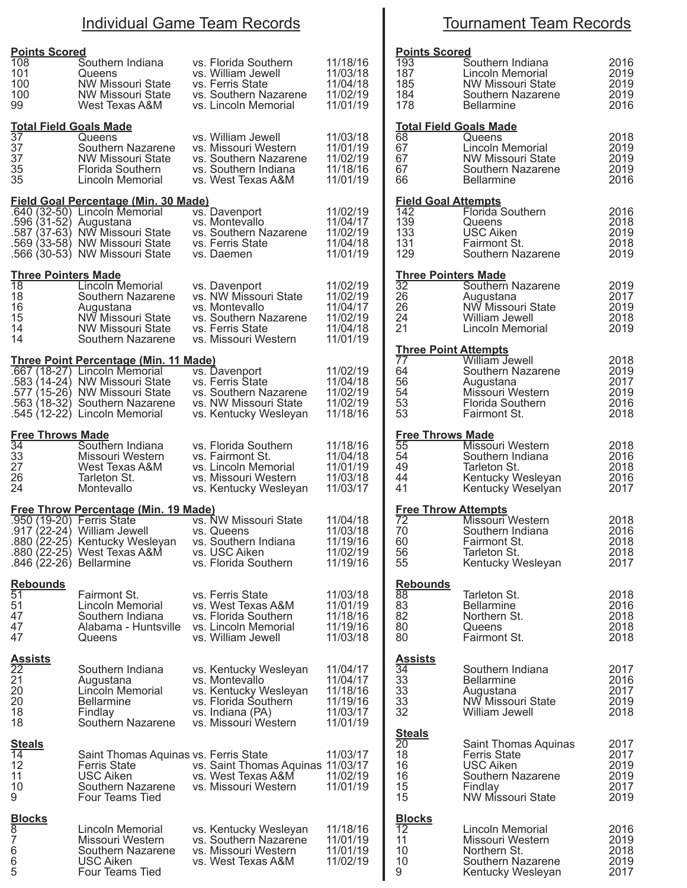### Individual Game Team Records

| <b>Points Scored</b><br>108<br>101<br>100<br>100<br>99                             | Southern Indiana<br>Queens<br><b>NW Missouri State</b><br>NW Missouri State<br>West Texas A&M                                                                                                                        | vs. Florida Southern<br>vs. William Jewell<br>vs. Ferris State<br>vs. Southern Nazarene<br>vs. Lincoln Memorial                      | 11/18/16<br>11/03/18<br>11/04/18<br>11/02/19<br>11/01/19             | <b>Points Sco</b><br>193<br>187<br>185<br>184<br>178           |
|------------------------------------------------------------------------------------|----------------------------------------------------------------------------------------------------------------------------------------------------------------------------------------------------------------------|--------------------------------------------------------------------------------------------------------------------------------------|----------------------------------------------------------------------|----------------------------------------------------------------|
| <b>Total Field Goals Made</b><br>37<br>37<br>37<br>35<br>35                        | Queens<br>Southern Nazarene<br><b>NW Missouri State</b><br>Florida Southern<br>Lincoln Memorial                                                                                                                      | vs. William Jewell<br>vs. Missouri Western<br>vs. Southern Nazarene<br>vs. Southern Indiana<br>vs. West Texas A&M                    | 11/03/18<br>11/01/19<br>11/02/19<br>11/18/16<br>11/01/19             | <u>Total Field</u><br>68<br>67<br>67<br>67<br>66               |
| .596 (31-52) Augustana                                                             | Field Goal Percentage (Min. 30 Made)<br>.640 (32-50) Lincoln Memorial<br>.587 (37-63) NW Missouri State<br>.569 (33-58) NW Missouri State<br>.566 (30-53) NW Missouri State                                          | vs. Davenport<br>vs. Montevallo<br>vs. Southern Nazarene<br>vs. Ferris State<br>vs. Daemen                                           | 11/02/19<br>11/04/17<br>11/02/19<br>11/04/18<br>11/01/19             | <b>Field Goal</b><br>142<br>139<br>133<br>131<br>129           |
| <u>Three Pointers Made</u><br>18<br>18<br>16<br>15<br>14<br>14                     | Lincoln Memorial<br>Southern Nazarene<br>Augustana<br>NW Missouri State<br>NW Missouri State<br>Southern Nazarene                                                                                                    | vs. Davenport<br>vs. NW Missouri State<br>vs. Montevallo<br>vs. Southern Nazarene<br>vs. Ferris State<br>vs. Missouri Western        | 11/02/19<br>11/02/19<br>11/04/17<br>11/02/19<br>11/04/18<br>11/01/19 | <b>Three Poin</b><br>32<br>26<br>26<br>24<br>21                |
|                                                                                    | <u>Three Point Percentage (Min. 11 Made)</u><br>.667 (18-27) Lincoln Memorial<br>.583 (14-24) NW Missouri State<br>.577 (15-26) NW Missouri State<br>.563 (18-32) Southern Nazarene<br>.545 (12-22) Lincoln Memorial | vs. Davenport<br>vs. Ferris State<br>vs. Southern Nazarene<br>vs. NW Missouri State<br>vs. Kentucky Wesleyan                         | 11/02/19<br>11/04/18<br>11/02/19<br>11/02/19<br>11/18/16             | <u>Three Poin</u><br>77<br>64<br>56<br>54<br>53<br>53          |
| <b>Free Throws Made</b><br>34<br>33<br>27<br>26<br>24                              | Southern Indiana<br>Missouri Western<br>West Texas A&M<br>Tarleton St.<br>Montevallo                                                                                                                                 | vs. Florida Southern<br>vs. Fairmont St.<br>vs. Lincoln Memorial<br>vs. Missouri Western<br>vs. Kentucky Wesleyan                    | 11/18/16<br>11/04/18<br>11/01/19<br>11/03/18<br>11/03/17             | <u>Free Throv</u><br>55<br>54<br>49<br>44<br>41                |
| .950 (19-20) Ferris State<br>.846 (22-26) Bellarmine                               | <b>Free Throw Percentage (Min. 19 Made)</b><br>.917 (22-24) William Jewell<br>.880 (22-25) Kentucky Wesleyan<br>.880 (22-25) West Texas A&M                                                                          | vs. NW Missouri State<br>vs. Queens<br>vs. Southern Indiana<br>vs. USC Aiken<br>vs. Florida Southern                                 | 11/04/18<br>11/03/18<br>11/19/16<br>11/02/19<br>11/19/16             | <b>Free Throv</b><br>72<br>70<br>60<br>56<br>55                |
| <b>Rebounds</b><br>51<br>51<br>47<br>47<br>47                                      | Fairmont St.<br>Lincoln Memorial<br>Southern Indiana<br>Alabama - Huntsville<br>Queens                                                                                                                               | vs. Ferris State<br>vs. West Texas A&M<br>vs. Florida Southern<br>vs. Lincoln Memorial<br>vs. William Jewell                         | 11/03/18<br>11/01/19<br>11/18/16<br>11/19/16<br>11/03/18             | <b>Rebounds</b><br>88<br>83<br>82<br>80<br>80                  |
| <u>Assists</u><br>22<br>21<br>20<br>20<br>18<br>18                                 | Southern Indiana<br>Augustana<br>Lincoln Memorial<br><b>Bellarmine</b><br>Findlay<br>Southern Nazarene                                                                                                               | vs. Kentucky Wesleyan<br>vs. Montevallo<br>vs. Kentucky Wesleyan<br>vs. Florida Southern<br>vs. Indiana (PA)<br>vs. Missouri Western | 11/04/17<br>11/04/17<br>11/18/16<br>11/19/16<br>11/03/17<br>11/01/19 | <u>Assists</u><br>34<br>33<br>33<br>33<br>32                   |
| <b>Steals</b><br>14<br>12<br>11<br>10<br>9                                         | Saint Thomas Aquinas vs. Ferris State<br>Ferris State<br>USC Aiken<br>Southern Nazarene<br>Four Teams Tied                                                                                                           | vs. Saint Thomas Aquinas 11/03/17<br>vs. West Texas A&M<br>vs. Missouri Western                                                      | 11/03/17<br>11/02/19<br>11/01/19                                     | <u>Steals</u><br>$\overline{20}$<br>18<br>16<br>16<br>15<br>15 |
| <u>Blocks</u><br>$\overline{8}$<br>$\begin{array}{c} 7 \\ 6 \\ 6 \end{array}$<br>5 | Lincoln Memorial<br>Missouri Western<br>Southern Nazarene<br>USC Aiken<br>Four Teams Tied                                                                                                                            | vs. Kentucky Wesleyan<br>vs. Southern Nazarene<br>vs. Missouri Western<br>vs. West Texas A&M                                         | 11/18/16<br>11/01/19<br>11/01/19<br>11/02/19                         | <u>Blocks</u><br>12<br>11<br>10<br>10<br>9                     |

## Tournament Team Records

| <b>Points Scored</b><br>$\frac{185}{184}$<br>184<br>178<br><b>0'</b>               | Southern Indiana<br>Lincoln Memorial<br>NW Missouri State<br>Southern Nazarene<br><b>Bellarmine</b>                          | 2016<br>2019<br>2019<br>2019<br>2016         |
|------------------------------------------------------------------------------------|------------------------------------------------------------------------------------------------------------------------------|----------------------------------------------|
| 68<br>67<br>67<br>67<br>66                                                         | <b>Total Field Goals Made</b><br>Queens<br>Lincoln Memorial<br>NW Missouri State<br>Southern Nazarene<br><b>Bellarmine</b>   | 2018<br>2019<br>2019<br>2019<br>2016         |
| $\frac{142}{139}$<br>139<br>133<br>131<br>129                                      | <b>Field Goal Attempts</b><br>142 <b>Florida Southern</b><br>Queens<br><b>USC Aiken</b><br>Fairmont St.<br>Southern Nazarene | 2016<br>2018<br>2019<br>2018<br>2019         |
| <b>Three Pointers Made</b><br>32<br>26<br>26<br>26<br>24<br>31<br>$\overline{2}$ 1 | Southern Nazarene<br>Augustana<br>NW Missouri State<br>William Jewell<br>Lincoln Memorial                                    | 2019<br>2017<br>2019<br>2018<br>2019         |
| <b>Three Point Attempts</b><br>77<br>64<br>56<br>54<br>53<br>53                    | William Jewell<br>Southern Nazarene<br>Augustana<br>Missouri Western<br>Florida Southern<br>Fairmont St.                     | 2018<br>2019<br>2017<br>2019<br>2016<br>2018 |
| <b>Free Throws Made</b><br>55<br>54<br>49<br>44<br>41                              | Missouri Western<br>Southern Indiana<br>Tarleton St.<br>Kentucky Wesleyan<br>Kentucky Weselyan                               | 2018<br>2016<br>2018<br>2016<br>2017         |
| <b>Free Throw Attempts</b><br>72<br>70<br>60<br>56<br>55                           | Missouri Western<br>Southern Indiana<br>Fairmont St.<br>Tarleton St.<br>Kentucky Wesleyan                                    | 2018<br>2016<br>2018<br>2018<br>2017         |
| <b>Rebounds</b><br>88<br>83<br>82<br>80<br>80                                      | Tarleton St.<br><b>Bellarmine</b><br>Northern St.<br>Queens<br>Fairmont St.                                                  | 2018<br>2016<br>2018<br>2018<br>2018         |
| <u>Assists</u><br>34<br>33<br>33<br>33<br>$\overline{32}$                          | Southern Indiana<br><b>Bellarmine</b><br>Augustana<br>NW Missouri State<br>William Jewell                                    | 2017<br>2016<br>2017<br>2019<br>2018         |
| <b>Steals</b><br>$\overline{2}0$<br>18<br>16<br>16<br>15<br>15                     | Saint Thomas Aquinas<br><b>Ferris State</b><br><b>USC Aiken</b><br>Southern Nazarene<br>Findlay<br>NW Missouri State         | 2017<br>2017<br>2019<br>2019<br>2017<br>2019 |
| <b>Blocks</b><br>$\overline{12}$<br>11<br>10<br>10<br>9                            | Lincoln Memorial<br>Missouri Western<br>Northern St.<br>Southern Nazarene<br>Kentucky Wesleyan                               | 2016<br>2019<br>2018<br>2019<br>2017         |